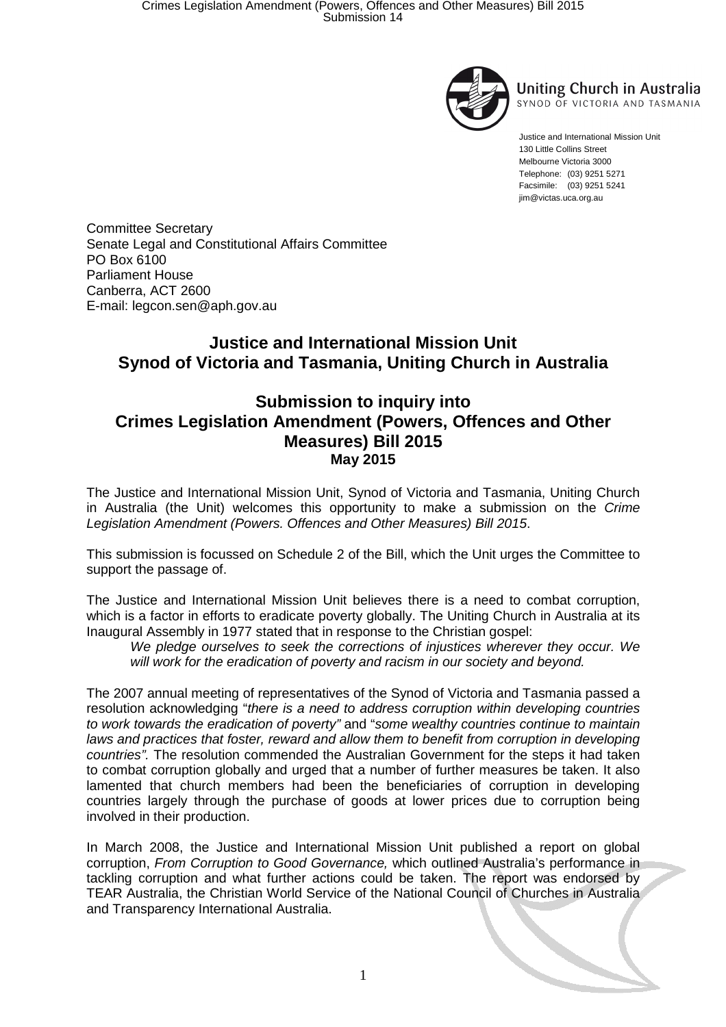

**Uniting Church in Australia** SYNOD OF VICTORIA AND TASMANIA

Justice and International Mission Unit 130 Little Collins Street Melbourne Victoria 3000 Telephone: (03) 9251 5271 Facsimile: (03) 9251 5241 jim@victas.uca.org.au

Committee Secretary Senate Legal and Constitutional Affairs Committee PO Box 6100 Parliament House Canberra, ACT 2600 E-mail: legcon.sen@aph.gov.au

## **Justice and International Mission Unit Synod of Victoria and Tasmania, Uniting Church in Australia**

## **Submission to inquiry into Crimes Legislation Amendment (Powers, Offences and Other Measures) Bill 2015 May 2015**

The Justice and International Mission Unit, Synod of Victoria and Tasmania, Uniting Church in Australia (the Unit) welcomes this opportunity to make a submission on the Crime Legislation Amendment (Powers. Offences and Other Measures) Bill 2015.

This submission is focussed on Schedule 2 of the Bill, which the Unit urges the Committee to support the passage of.

The Justice and International Mission Unit believes there is a need to combat corruption, which is a factor in efforts to eradicate poverty globally. The Uniting Church in Australia at its Inaugural Assembly in 1977 stated that in response to the Christian gospel:

We pledge ourselves to seek the corrections of injustices wherever they occur. We will work for the eradication of poverty and racism in our society and beyond.

The 2007 annual meeting of representatives of the Synod of Victoria and Tasmania passed a resolution acknowledging "there is a need to address corruption within developing countries to work towards the eradication of poverty" and "some wealthy countries continue to maintain laws and practices that foster, reward and allow them to benefit from corruption in developing countries". The resolution commended the Australian Government for the steps it had taken to combat corruption globally and urged that a number of further measures be taken. It also lamented that church members had been the beneficiaries of corruption in developing countries largely through the purchase of goods at lower prices due to corruption being involved in their production.

In March 2008, the Justice and International Mission Unit published a report on global corruption, From Corruption to Good Governance, which outlined Australia's performance in tackling corruption and what further actions could be taken. The report was endorsed by TEAR Australia, the Christian World Service of the National Council of Churches in Australia and Transparency International Australia.